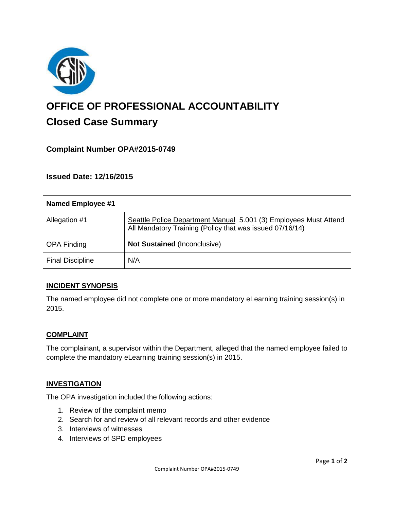

# **OFFICE OF PROFESSIONAL ACCOUNTABILITY Closed Case Summary**

## **Complaint Number OPA#2015-0749**

**Issued Date: 12/16/2015**

| Named Employee #1       |                                                                                                                              |
|-------------------------|------------------------------------------------------------------------------------------------------------------------------|
| Allegation #1           | Seattle Police Department Manual 5.001 (3) Employees Must Attend<br>All Mandatory Training (Policy that was issued 07/16/14) |
| <b>OPA Finding</b>      | Not Sustained (Inconclusive)                                                                                                 |
| <b>Final Discipline</b> | N/A                                                                                                                          |

#### **INCIDENT SYNOPSIS**

The named employee did not complete one or more mandatory eLearning training session(s) in 2015.

#### **COMPLAINT**

The complainant, a supervisor within the Department, alleged that the named employee failed to complete the mandatory eLearning training session(s) in 2015.

#### **INVESTIGATION**

The OPA investigation included the following actions:

- 1. Review of the complaint memo
- 2. Search for and review of all relevant records and other evidence
- 3. Interviews of witnesses
- 4. Interviews of SPD employees